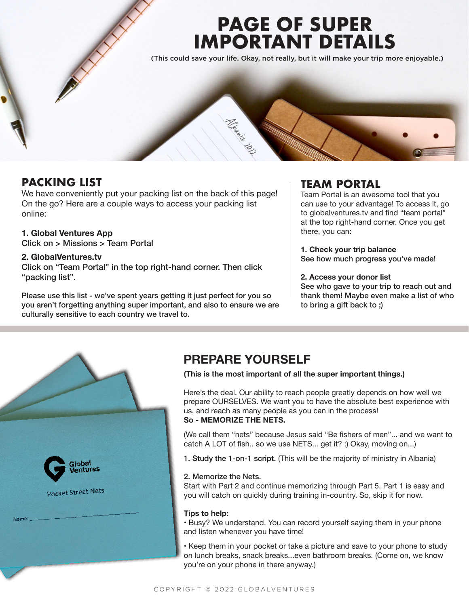# **PAGE OF SUPER IMPORTANT DETAILS**

(This could save your life. Okay, not really, but it will make your trip more enjoyable.)



## **PACKING LIST**

We have conveniently put your packing list on the back of this page! On the go? Here are a couple ways to access your packing list online:

## **1. Global Ventures App**

Click on > Missions > Team Portal

## **2. GlobalVentures.tv**

Click on "Team Portal" in the top right-hand corner. Then click "packing list".

Please use this list - we've spent years getting it just perfect for you so you aren't forgetting anything super important, and also to ensure we are culturally sensitive to each country we travel to.

## **TEAM PORTAL**

Team Portal is an awesome tool that you can use to your advantage! To access it, go to globalventures.tv and find "team portal" at the top right-hand corner. Once you get there, you can:

**1. Check your trip balance** See how much progress you've made!

## **2. Access your donor list**

See who gave to your trip to reach out and thank them! Maybe even make a list of who to bring a gift back to ;)



# **PREPARE YOURSELF**

**(This is the most important of all the super important things.)**

Here's the deal. Our ability to reach people greatly depends on how well we prepare OURSELVES. We want you to have the absolute best experience with us, and reach as many people as you can in the process! **So - MEMORIZE THE NETS.** 

(We call them "nets" because Jesus said "Be fishers of men"... and we want to catch A LOT of fish.. so we use NETS... get it? :) Okay, moving on...)

1. Study the 1-on-1 script. (This will be the majority of ministry in Albania)

## 2. Memorize the Nets.

Start with Part 2 and continue memorizing through Part 5. Part 1 is easy and you will catch on quickly during training in-country. So, skip it for now.

## **Tips to help:**

• Busy? We understand. You can record yourself saying them in your phone and listen whenever you have time!

• Keep them in your pocket or take a picture and save to your phone to study on lunch breaks, snack breaks...even bathroom breaks. (Come on, we know you're on your phone in there anyway.)